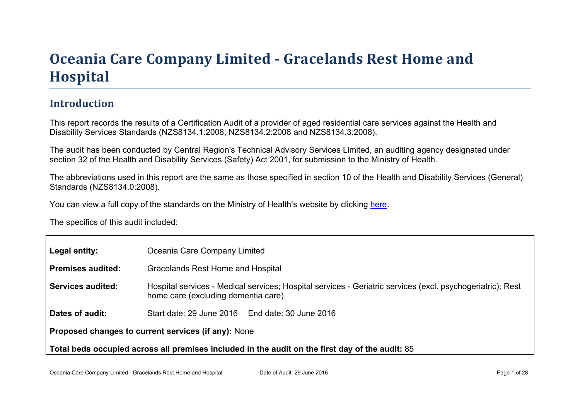## Oceania Car e Company Limited - Gr acelands Rest Home and **Hospital**

### Introduction

This report records the results of a Certification Audit of a provider of aged residential care services against the Health and Disability Services Standards (NZS8134.1:2008; NZS8134.2:2008 and NZS8134.3:2008).

The audit has been conducted by Central Region's Technical Advisory Services Limited, an auditing agency designated under section 32 of the Health and Disability Services (Safety) Act 2001, for submission to the Ministry of Health.

The abbreviations used in this report are the same as those specified in section 10 of the Health and Disability Services (General) Standards (NZS8134.0:2008).

You can view a full copy of the standards on the Ministry of Health's website by clicking [here.](http://www.health.govt.nz/our-work/regulation-health-and-disability-system/certification-health-care-services/health-and-disability-services-standards)

The specifics of this audit included:

| Legal entity:                                                                                      | Oceania Care Company Limited                                                                                                                      |  |  |  |
|----------------------------------------------------------------------------------------------------|---------------------------------------------------------------------------------------------------------------------------------------------------|--|--|--|
| Premises audited:                                                                                  | Gracelands Rest Home and Hospital                                                                                                                 |  |  |  |
| Services audited:                                                                                  | Hospital services - Medical services; Hospital services - Geriatric services (excl. psychogeriatric); Rest<br>home care (excluding dementia care) |  |  |  |
| Dates of audit:                                                                                    | Start date: 29 June 2016   End date: 30 June 2016                                                                                                 |  |  |  |
| Proposed changes to current<br>services (if any): None                                             |                                                                                                                                                   |  |  |  |
| Total beds occupied across all premises included<br>in the audit on the first day of the audit: 85 |                                                                                                                                                   |  |  |  |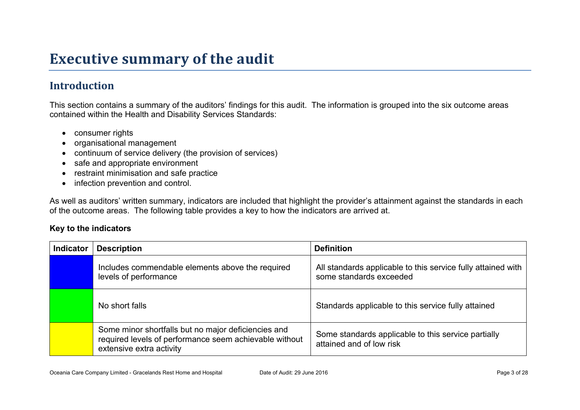## **Executive summary of the audit**

## **Introduction**

This section contains a summary of the auditors' findings for this audit. The information is grouped into the six outcome areas contained within the Health and Disability Services Standards:

- consumer rights
- organisational management
- continuum of service delivery (the provision of services)
- safe and appropriate environment
- restraint minimisation and safe practice
- infection prevention and control.

As well as auditors' written summary, indicators are included that highlight the provider's attainment against the standards in each of the outcome areas. The following table provides a key to how the indicators are arrived at.

#### **Key to the indicators**

| <b>Indicator</b> | <b>Description</b>                                                                                                                        | <b>Definition</b>                                                                       |
|------------------|-------------------------------------------------------------------------------------------------------------------------------------------|-----------------------------------------------------------------------------------------|
|                  | Includes commendable elements above the required<br>levels of performance                                                                 | All standards applicable to this service fully attained with<br>some standards exceeded |
|                  | No short falls                                                                                                                            | Standards applicable to this service fully attained                                     |
|                  | Some minor shortfalls but no major deficiencies and<br>required levels of performance seem achievable without<br>extensive extra activity | Some standards applicable to this service partially<br>attained and of low risk         |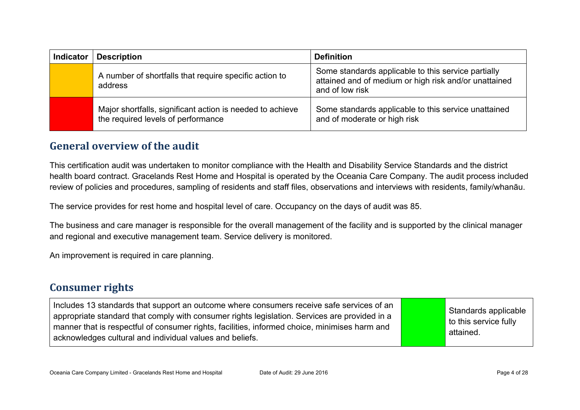| <b>Indicator</b> | <b>Description</b>                                                                              | <b>Definition</b>                                                                                                               |
|------------------|-------------------------------------------------------------------------------------------------|---------------------------------------------------------------------------------------------------------------------------------|
|                  | A number of shortfalls that require specific action to<br>address                               | Some standards applicable to this service partially<br>attained and of medium or high risk and/or unattained<br>and of low risk |
|                  | Major shortfalls, significant action is needed to achieve<br>the required levels of performance | Some standards applicable to this service unattained<br>and of moderate or high risk                                            |

### **General overview of the audit**

This certification audit was undertaken to monitor compliance with the Health and Disability Service Standards and the district health board contract. Gracelands Rest Home and Hospital is operated by the Oceania Care Company. The audit process included review of policies and procedures, sampling of residents and staff files, observations and interviews with residents, family/whanāu.

The service provides for rest home and hospital level of care. Occupancy on the days of audit was 85.

The business and care manager is responsible for the overall management of the facility and is supported by the clinical manager and regional and executive management team. Service delivery is monitored.

An improvement is required in care planning.

#### **Consumer rights**

Includes 13 standards that support an outcome where consumers receive safe services of an appropriate standard that comply with consumer rights legislation. Services are provided in a manner that is respectful of consumer rights, facilities, informed choice, minimises harm and acknowledges cultural and individual values and beliefs. Standards applicable to this service fully attained.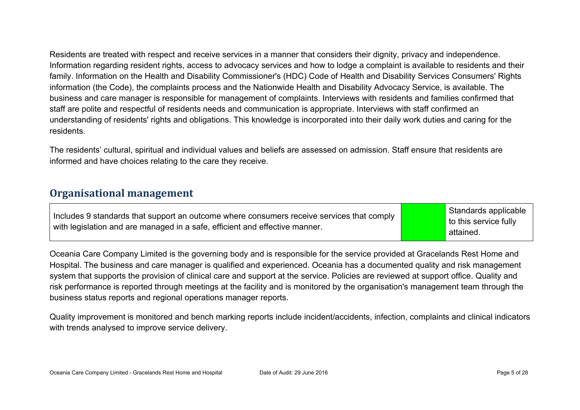Residents are treated with respect and receive services in a manner that considers their dignity, privacy and independence. Information regarding resident rights, access to advocacy services and how to lodge a complaint is available to residents and their family. Information on the Health and Disability Commissioner's (HDC) Code of Health and Disability Services Consumers' Rights information (the Code), the complaints process and the Nationwide Health and Disability Advocacy Service, is available. The business and care manager is responsible for management of complaints. Interviews with residents and families confirmed that staff are polite and respectful of residents needs and communication is appropriate. Interviews with staff confirmed an understanding of residents' rights and obligations. This knowledge is incorporated into their daily work duties and caring for the residents.

The residents' cultural, spiritual and individual values and beliefs are assessed on admission. Staff ensure that residents are informed and have choices relating to the care they receive.

#### **Organisational management**

| Includes 9 standards that support an outcome where consumers receive services that comply |  |
|-------------------------------------------------------------------------------------------|--|
| with legislation and are managed in a safe, efficient and effective manner.               |  |

Standards applicable to this service fully attained.

Oceania Care Company Limited is the governing body and is responsible for the service provided at Gracelands Rest Home and Hospital. The business and care manager is qualified and experienced. Oceania has a documented quality and risk management system that supports the provision of clinical care and support at the service. Policies are reviewed at support office. Quality and risk performance is reported through meetings at the facility and is monitored by the organisation's management team through the business status reports and regional operations manager reports.

Quality improvement is monitored and bench marking reports include incident/accidents, infection, complaints and clinical indicators with trends analysed to improve service delivery.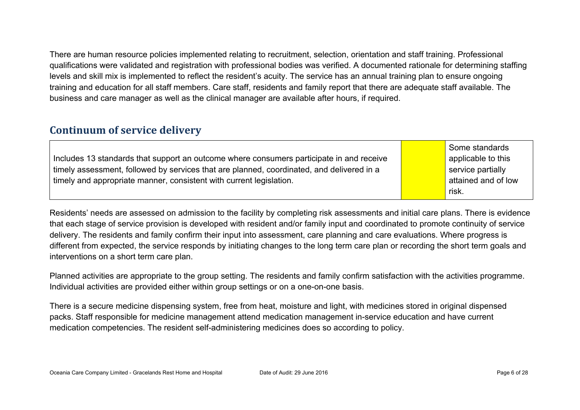There are human resource policies implemented relating to recruitment, selection, orientation and staff training. Professional qualifications were validated and registration with professional bodies was verified. A documented rationale for determining staffing levels and skill mix is implemented to reflect the resident's acuity. The service has an annual training plan to ensure ongoing training and education for all staff members. Care staff, residents and family report that there are adequate staff available. The business and care manager as well as the clinical manager are available after hours, if required.

#### **Continuum of service delivery**

|                                                                                           | Some standards      |
|-------------------------------------------------------------------------------------------|---------------------|
| Includes 13 standards that support an outcome where consumers participate in and receive  | applicable to this  |
| timely assessment, followed by services that are planned, coordinated, and delivered in a | service partially   |
| timely and appropriate manner, consistent with current legislation.                       | attained and of low |
|                                                                                           | risk.               |

Residents' needs are assessed on admission to the facility by completing risk assessments and initial care plans. There is evidence that each stage of service provision is developed with resident and/or family input and coordinated to promote continuity of service delivery. The residents and family confirm their input into assessment, care planning and care evaluations. Where progress is different from expected, the service responds by initiating changes to the long term care plan or recording the short term goals and interventions on a short term care plan.

Planned activities are appropriate to the group setting. The residents and family confirm satisfaction with the activities programme. Individual activities are provided either within group settings or on a one-on-one basis.

There is a secure medicine dispensing system, free from heat, moisture and light, with medicines stored in original dispensed packs. Staff responsible for medicine management attend medication management in-service education and have current medication competencies. The resident self-administering medicines does so according to policy.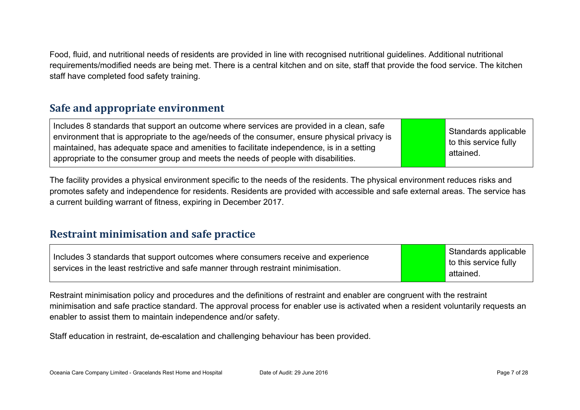Food, fluid, and nutritional needs of residents are provided in line with recognised nutritional guidelines. Additional nutritional requirements/modified needs are being met. There is a central kitchen and on site, staff that provide the food service. The kitchen staff have completed food safety training.

### **Safe and appropriate environment**

Includes 8 standards that support an outcome where services are provided in a clean, safe environment that is appropriate to the age/needs of the consumer, ensure physical privacy is maintained, has adequate space and amenities to facilitate independence, is in a setting appropriate to the consumer group and meets the needs of people with disabilities.

Standards applicable to this service fully attained.

The facility provides a physical environment specific to the needs of the residents. The physical environment reduces risks and promotes safety and independence for residents. Residents are provided with accessible and safe external areas. The service has a current building warrant of fitness, expiring in December 2017.

#### **Restraint minimisation and safe practice**

| Includes 3 standards that support outcomes where consumers receive and experience | Standards applicable  |
|-----------------------------------------------------------------------------------|-----------------------|
| services in the least restrictive and safe manner through restraint minimisation. | to this service fully |
|                                                                                   | attained.             |

Restraint minimisation policy and procedures and the definitions of restraint and enabler are congruent with the restraint minimisation and safe practice standard. The approval process for enabler use is activated when a resident voluntarily requests an enabler to assist them to maintain independence and/or safety.

Staff education in restraint, de-escalation and challenging behaviour has been provided.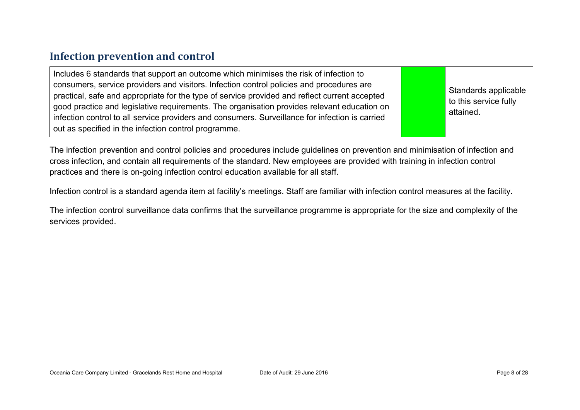### **Infection prevention and control**

The infection prevention and control policies and procedures include guidelines on prevention and minimisation of infection and cross infection, and contain all requirements of the standard. New employees are provided with training in infection control practices and there is on-going infection control education available for all staff.

Infection control is a standard agenda item at facility's meetings. Staff are familiar with infection control measures at the facility.

The infection control surveillance data confirms that the surveillance programme is appropriate for the size and complexity of the services provided.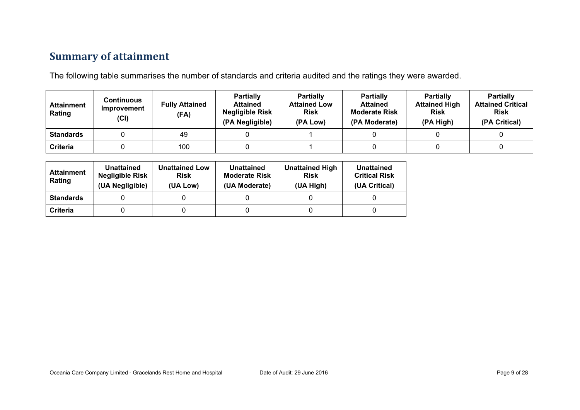## **Summary of attainment**

The following table summarises the number of standards and criteria audited and the ratings they were awarded.

| <b>Attainment</b><br>Rating | Continuous<br>Improvement<br>(Cl) | <b>Fully Attained</b><br>(FA) | <b>Partially</b><br><b>Attained</b><br><b>Negligible Risk</b><br>(PA Negligible) | <b>Partially</b><br><b>Attained Low</b><br><b>Risk</b><br>(PA Low) | <b>Partially</b><br><b>Attained</b><br><b>Moderate Risk</b><br>(PA Moderate) | <b>Partially</b><br><b>Attained High</b><br><b>Risk</b><br>(PA High) | <b>Partially</b><br><b>Attained Critical</b><br><b>Risk</b><br>(PA Critical) |
|-----------------------------|-----------------------------------|-------------------------------|----------------------------------------------------------------------------------|--------------------------------------------------------------------|------------------------------------------------------------------------------|----------------------------------------------------------------------|------------------------------------------------------------------------------|
| <b>Standards</b>            |                                   | 49                            |                                                                                  |                                                                    |                                                                              |                                                                      |                                                                              |
| Criteria                    |                                   | 100                           |                                                                                  |                                                                    |                                                                              |                                                                      |                                                                              |

| <b>Attainment</b><br>Rating | Unattained<br><b>Negligible Risk</b><br>(UA Negligible) | <b>Unattained Low</b><br><b>Risk</b><br>(UA Low) | Unattained<br><b>Moderate Risk</b><br>(UA Moderate) | <b>Unattained High</b><br><b>Risk</b><br>(UA High) | Unattained<br><b>Critical Risk</b><br>(UA Critical) |
|-----------------------------|---------------------------------------------------------|--------------------------------------------------|-----------------------------------------------------|----------------------------------------------------|-----------------------------------------------------|
| <b>Standards</b>            |                                                         |                                                  |                                                     |                                                    |                                                     |
| Criteria                    |                                                         |                                                  |                                                     |                                                    |                                                     |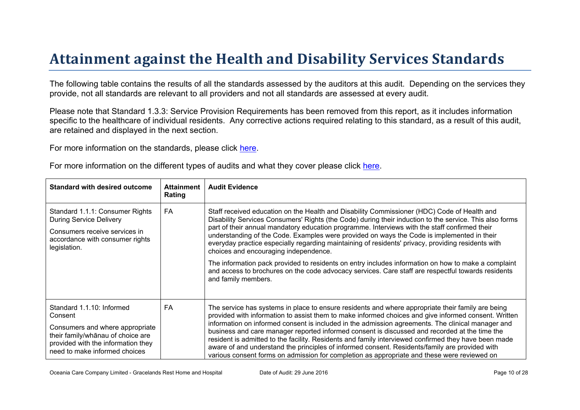# Attainment against the Health and Disability Ser vices Standar ds

The following table contains the results of all the standards assessed by the auditors at this audit. Depending on the services they provide, not all standards are relevant to all providers and not all standards are assessed at every audit.

Please note that Standard 1.3.3: Service Provision Requirements has been removed from this report, as it includes information specific to the healthcare of individual residents. Any corrective actions required relating to this standard, as a result of this audit, are retained and displayed in the next section.

For more information on the standards, please click [here](http://www.health.govt.nz/our-work/regulation-health-and-disability-system/certification-health-care-services/health-and-disability-services-standards).

| For more information on the different types of audits and what they cover please click here. |  |  |
|----------------------------------------------------------------------------------------------|--|--|
|----------------------------------------------------------------------------------------------|--|--|

| Standard with desired outcome                                                                                                                                                | Attainment<br>Rating | <b>Audit Evidence</b>                                                                                                                                                                                                                                                                                                                                                                                                                                                                                                                                                                                                                                                                                                                                                                    |
|------------------------------------------------------------------------------------------------------------------------------------------------------------------------------|----------------------|------------------------------------------------------------------------------------------------------------------------------------------------------------------------------------------------------------------------------------------------------------------------------------------------------------------------------------------------------------------------------------------------------------------------------------------------------------------------------------------------------------------------------------------------------------------------------------------------------------------------------------------------------------------------------------------------------------------------------------------------------------------------------------------|
| Standard 1.1.1: Consumer Rights<br><b>During Service Delivery</b><br>Consumers receive services in<br>accordance with consumer rights<br>legislation.                        | FA                   | Staff received education on the Health and Disability Commissioner (HDC) Code of Health and<br>Disability Services Consumers' Rights (the Code) during their induction to the service. This also forms<br>part of their annual mandatory education programme. Interviews with the staff confirmed their<br>understanding of the Code. Examples were provided on ways the Code is implemented in their<br>everyday practice especially regarding maintaining of residents' privacy, providing residents with<br>choices and encouraging independence.<br>The information pack provided to residents on entry includes information on how to make a complaint<br>and access to brochures on the code advocacy services. Care staff are respectful towards residents<br>and family members. |
| Standard 1.1.10: Informed<br>Consent<br>Consumers and where appropriate<br>?6 & @ choote are<br>their<br>provided with the information they<br>need to make informed choices | FA                   | The service has systems in place to ensure residents and where appropriate their family are being<br>provided with information to assist them to make informed choices and give informed consent. Written<br>information on informed consent is included in the admission agreements. The clinical manager and<br>business and care manager reported informed consent is discussed and recorded at the time the<br>resident is admitted to the facility. Residents and family interviewed confirmed they have been made<br>aware of and understand the principles of informed consent. Residents/family are provided with<br>various consent forms on admission for completion as appropriate and these were reviewed on                                                                 |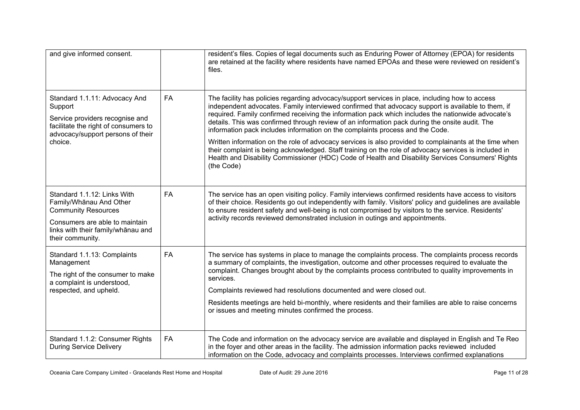| and give informed consent.                                                                                                                                                       |           | resident's files. Copies of legal documents such as Enduring Power of Attorney (EPOA) for residents<br>are retained at the facility where residents have named EPOAs and these were reviewed on resident's<br>files.                                                                                                                                                                                                                                                                                                                                                                                                                                                                                                                                                                                                                 |
|----------------------------------------------------------------------------------------------------------------------------------------------------------------------------------|-----------|--------------------------------------------------------------------------------------------------------------------------------------------------------------------------------------------------------------------------------------------------------------------------------------------------------------------------------------------------------------------------------------------------------------------------------------------------------------------------------------------------------------------------------------------------------------------------------------------------------------------------------------------------------------------------------------------------------------------------------------------------------------------------------------------------------------------------------------|
| Standard 1.1.11: Advocacy And<br>Support<br>Service providers recognise and<br>facilitate the right of consumers to<br>advocacy/support persons of their<br>choice.              | <b>FA</b> | The facility has policies regarding advocacy/support services in place, including how to access<br>independent advocates. Family interviewed confirmed that advocacy support is available to them, if<br>required. Family confirmed receiving the information pack which includes the nationwide advocate's<br>details. This was confirmed through review of an information pack during the onsite audit. The<br>information pack includes information on the complaints process and the Code.<br>Written information on the role of advocacy services is also provided to complainants at the time when<br>their complaint is being acknowledged. Staff training on the role of advocacy services is included in<br>Health and Disability Commissioner (HDC) Code of Health and Disability Services Consumers' Rights<br>(the Code) |
| Standard 1.1.12: Links With<br>Family/Whanau And Other<br><b>Community Resources</b><br>Consumers are able to maintain<br>links with their family/whānau and<br>their community. | FA        | The service has an open visiting policy. Family interviews confirmed residents have access to visitors<br>of their choice. Residents go out independently with family. Visitors' policy and guidelines are available<br>to ensure resident safety and well-being is not compromised by visitors to the service. Residents'<br>activity records reviewed demonstrated inclusion in outings and appointments.                                                                                                                                                                                                                                                                                                                                                                                                                          |
| Standard 1.1.13: Complaints<br>Management<br>The right of the consumer to make<br>a complaint is understood,<br>respected, and upheld.                                           | <b>FA</b> | The service has systems in place to manage the complaints process. The complaints process records<br>a summary of complaints, the investigation, outcome and other processes required to evaluate the<br>complaint. Changes brought about by the complaints process contributed to quality improvements in<br>services.<br>Complaints reviewed had resolutions documented and were closed out.<br>Residents meetings are held bi-monthly, where residents and their families are able to raise concerns<br>or issues and meeting minutes confirmed the process.                                                                                                                                                                                                                                                                      |
| Standard 1.1.2: Consumer Rights<br><b>During Service Delivery</b>                                                                                                                | <b>FA</b> | The Code and information on the advocacy service are available and displayed in English and Te Reo<br>in the foyer and other areas in the facility. The admission information packs reviewed included<br>information on the Code, advocacy and complaints processes. Interviews confirmed explanations                                                                                                                                                                                                                                                                                                                                                                                                                                                                                                                               |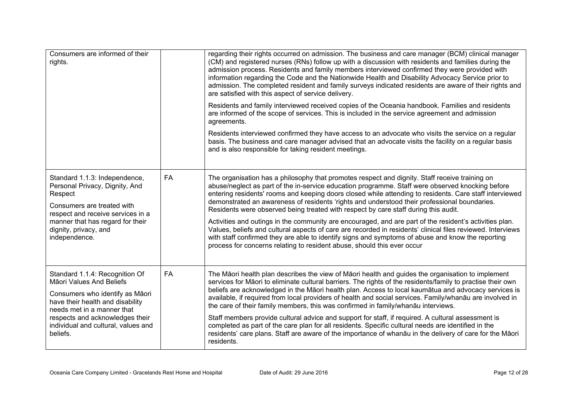| Consumers are informed of their<br>rights.                                                                                                                                                                                                            |           | regarding their rights occurred on admission. The business and care manager (BCM) clinical manager<br>(CM) and registered nurses (RNs) follow up with a discussion with residents and families during the<br>admission process. Residents and family members interviewed confirmed they were provided with<br>information regarding the Code and the Nationwide Health and Disability Advocacy Service prior to<br>admission. The completed resident and family surveys indicated residents are aware of their rights and<br>are satisfied with this aspect of service delivery. |
|-------------------------------------------------------------------------------------------------------------------------------------------------------------------------------------------------------------------------------------------------------|-----------|----------------------------------------------------------------------------------------------------------------------------------------------------------------------------------------------------------------------------------------------------------------------------------------------------------------------------------------------------------------------------------------------------------------------------------------------------------------------------------------------------------------------------------------------------------------------------------|
|                                                                                                                                                                                                                                                       |           | Residents and family interviewed received copies of the Oceania handbook. Families and residents<br>are informed of the scope of services. This is included in the service agreement and admission<br>agreements.                                                                                                                                                                                                                                                                                                                                                                |
|                                                                                                                                                                                                                                                       |           | Residents interviewed confirmed they have access to an advocate who visits the service on a regular<br>basis. The business and care manager advised that an advocate visits the facility on a regular basis<br>and is also responsible for taking resident meetings.                                                                                                                                                                                                                                                                                                             |
| Standard 1.1.3: Independence,<br>Personal Privacy, Dignity, And<br>Respect<br>Consumers are treated with<br>respect and receive services in a<br>manner that has regard for their<br>dignity, privacy, and<br>independence.                           | <b>FA</b> | The organisation has a philosophy that promotes respect and dignity. Staff receive training on<br>abuse/neglect as part of the in-service education programme. Staff were observed knocking before<br>entering residents' rooms and keeping doors closed while attending to residents. Care staff interviewed<br>demonstrated an awareness of residents 'rights and understood their professional boundaries.<br>Residents were observed being treated with respect by care staff during this audit.                                                                             |
|                                                                                                                                                                                                                                                       |           | Activities and outings in the community are encouraged, and are part of the resident's activities plan.<br>Values, beliefs and cultural aspects of care are recorded in residents' clinical files reviewed. Interviews<br>with staff confirmed they are able to identify signs and symptoms of abuse and know the reporting<br>process for concerns relating to resident abuse, should this ever occur                                                                                                                                                                           |
| Standard 1.1.4: Recognition Of<br>Māori Values And Beliefs<br>Consumers who identify as Māori<br>have their health and disability<br>needs met in a manner that<br>respects and acknowledges their<br>individual and cultural, values and<br>beliefs. | <b>FA</b> | The Māori health plan describes the view of Māori health and guides the organisation to implement<br>services for Māori to eliminate cultural barriers. The rights of the residents/family to practise their own<br>beliefs are acknowledged in the Māori health plan. Access to local kaumātua and advocacy services is<br>available, if required from local providers of health and social services. Family/whanāu are involved in<br>the care of their family members, this was confirmed in family/whanāu interviews.                                                        |
|                                                                                                                                                                                                                                                       |           | Staff members provide cultural advice and support for staff, if required. A cultural assessment is<br>completed as part of the care plan for all residents. Specific cultural needs are identified in the<br>residents' care plans. Staff are aware of the importance of whanau in the delivery of care for the Maori<br>residents.                                                                                                                                                                                                                                              |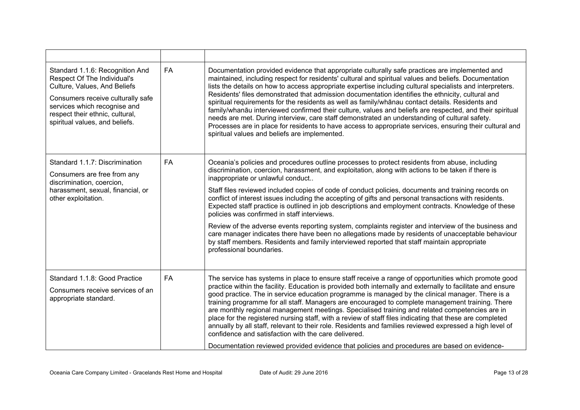| Standard 1.1.6: Recognition And<br>Respect Of The Individual's<br>Culture, Values, And Beliefs<br>Consumers receive culturally safe<br>services which recognise and<br>respect their ethnic, cultural,<br>spiritual values, and beliefs. | <b>FA</b> | Documentation provided evidence that appropriate culturally safe practices are implemented and<br>maintained, including respect for residents' cultural and spiritual values and beliefs. Documentation<br>lists the details on how to access appropriate expertise including cultural specialists and interpreters.<br>Residents' files demonstrated that admission documentation identifies the ethnicity, cultural and<br>spiritual requirements for the residents as well as family/whanau contact details. Residents and<br>family/whanāu interviewed confirmed their culture, values and beliefs are respected, and their spiritual<br>needs are met. During interview, care staff demonstrated an understanding of cultural safety.<br>Processes are in place for residents to have access to appropriate services, ensuring their cultural and<br>spiritual values and beliefs are implemented. |
|------------------------------------------------------------------------------------------------------------------------------------------------------------------------------------------------------------------------------------------|-----------|---------------------------------------------------------------------------------------------------------------------------------------------------------------------------------------------------------------------------------------------------------------------------------------------------------------------------------------------------------------------------------------------------------------------------------------------------------------------------------------------------------------------------------------------------------------------------------------------------------------------------------------------------------------------------------------------------------------------------------------------------------------------------------------------------------------------------------------------------------------------------------------------------------|
| Standard 1.1.7: Discrimination<br>Consumers are free from any<br>discrimination, coercion,<br>harassment, sexual, financial, or<br>other exploitation.                                                                                   | <b>FA</b> | Oceania's policies and procedures outline processes to protect residents from abuse, including<br>discrimination, coercion, harassment, and exploitation, along with actions to be taken if there is<br>inappropriate or unlawful conduct                                                                                                                                                                                                                                                                                                                                                                                                                                                                                                                                                                                                                                                               |
|                                                                                                                                                                                                                                          |           | Staff files reviewed included copies of code of conduct policies, documents and training records on<br>conflict of interest issues including the accepting of gifts and personal transactions with residents.<br>Expected staff practice is outlined in job descriptions and employment contracts. Knowledge of these<br>policies was confirmed in staff interviews.                                                                                                                                                                                                                                                                                                                                                                                                                                                                                                                                    |
|                                                                                                                                                                                                                                          |           | Review of the adverse events reporting system, complaints register and interview of the business and<br>care manager indicates there have been no allegations made by residents of unacceptable behaviour<br>by staff members. Residents and family interviewed reported that staff maintain appropriate<br>professional boundaries.                                                                                                                                                                                                                                                                                                                                                                                                                                                                                                                                                                    |
| Standard 1.1.8: Good Practice<br>Consumers receive services of an<br>appropriate standard.                                                                                                                                               | <b>FA</b> | The service has systems in place to ensure staff receive a range of opportunities which promote good<br>practice within the facility. Education is provided both internally and externally to facilitate and ensure<br>good practice. The in service education programme is managed by the clinical manager. There is a<br>training programme for all staff. Managers are encouraged to complete management training. There<br>are monthly regional management meetings. Specialised training and related competencies are in<br>place for the registered nursing staff, with a review of staff files indicating that these are completed<br>annually by all staff, relevant to their role. Residents and families reviewed expressed a high level of<br>confidence and satisfaction with the care delivered.                                                                                           |
|                                                                                                                                                                                                                                          |           | Documentation reviewed provided evidence that policies and procedures are based on evidence-                                                                                                                                                                                                                                                                                                                                                                                                                                                                                                                                                                                                                                                                                                                                                                                                            |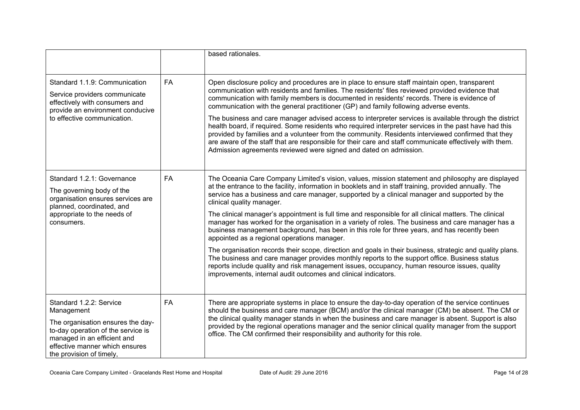|                                                                                                                                                                                                               |           | based rationales.                                                                                                                                                                                                                                                                                                                                                                                                                                                                                                                                                                                                                                                                                                                                                                                                                                                                                                                                                                                                                                                                         |
|---------------------------------------------------------------------------------------------------------------------------------------------------------------------------------------------------------------|-----------|-------------------------------------------------------------------------------------------------------------------------------------------------------------------------------------------------------------------------------------------------------------------------------------------------------------------------------------------------------------------------------------------------------------------------------------------------------------------------------------------------------------------------------------------------------------------------------------------------------------------------------------------------------------------------------------------------------------------------------------------------------------------------------------------------------------------------------------------------------------------------------------------------------------------------------------------------------------------------------------------------------------------------------------------------------------------------------------------|
| Standard 1.1.9: Communication<br>Service providers communicate<br>effectively with consumers and<br>provide an environment conducive<br>to effective communication.                                           | <b>FA</b> | Open disclosure policy and procedures are in place to ensure staff maintain open, transparent<br>communication with residents and families. The residents' files reviewed provided evidence that<br>communication with family members is documented in residents' records. There is evidence of<br>communication with the general practitioner (GP) and family following adverse events.<br>The business and care manager advised access to interpreter services is available through the district<br>health board, if required. Some residents who required interpreter services in the past have had this<br>provided by families and a volunteer from the community. Residents interviewed confirmed that they<br>are aware of the staff that are responsible for their care and staff communicate effectively with them.<br>Admission agreements reviewed were signed and dated on admission.                                                                                                                                                                                         |
| Standard 1.2.1: Governance<br>The governing body of the<br>organisation ensures services are<br>planned, coordinated, and<br>appropriate to the needs of<br>consumers.                                        | FA        | The Oceania Care Company Limited's vision, values, mission statement and philosophy are displayed<br>at the entrance to the facility, information in booklets and in staff training, provided annually. The<br>service has a business and care manager, supported by a clinical manager and supported by the<br>clinical quality manager.<br>The clinical manager's appointment is full time and responsible for all clinical matters. The clinical<br>manager has worked for the organisation in a variety of roles. The business and care manager has a<br>business management background, has been in this role for three years, and has recently been<br>appointed as a regional operations manager.<br>The organisation records their scope, direction and goals in their business, strategic and quality plans.<br>The business and care manager provides monthly reports to the support office. Business status<br>reports include quality and risk management issues, occupancy, human resource issues, quality<br>improvements, internal audit outcomes and clinical indicators. |
| Standard 1.2.2: Service<br>Management<br>The organisation ensures the day-<br>to-day operation of the service is<br>managed in an efficient and<br>effective manner which ensures<br>the provision of timely, | <b>FA</b> | There are appropriate systems in place to ensure the day-to-day operation of the service continues<br>should the business and care manager (BCM) and/or the clinical manager (CM) be absent. The CM or<br>the clinical quality manager stands in when the business and care manager is absent. Support is also<br>provided by the regional operations manager and the senior clinical quality manager from the support<br>office. The CM confirmed their responsibility and authority for this role.                                                                                                                                                                                                                                                                                                                                                                                                                                                                                                                                                                                      |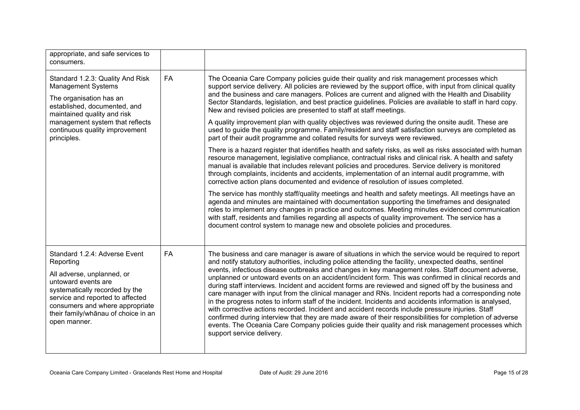| appropriate, and safe services to<br>consumers.                                                                                                                                                                   |           |                                                                                                                                                                                                                                                                                                                                                                                                                                                                                                                                                                                                                                                                                                                                                                                   |
|-------------------------------------------------------------------------------------------------------------------------------------------------------------------------------------------------------------------|-----------|-----------------------------------------------------------------------------------------------------------------------------------------------------------------------------------------------------------------------------------------------------------------------------------------------------------------------------------------------------------------------------------------------------------------------------------------------------------------------------------------------------------------------------------------------------------------------------------------------------------------------------------------------------------------------------------------------------------------------------------------------------------------------------------|
| Standard 1.2.3: Quality And Risk<br><b>Management Systems</b><br>The organisation has an<br>established, documented, and<br>maintained quality and risk                                                           | <b>FA</b> | The Oceania Care Company policies guide their quality and risk management processes which<br>support service delivery. All policies are reviewed by the support office, with input from clinical quality<br>and the business and care managers. Polices are current and aligned with the Health and Disability<br>Sector Standards, legislation, and best practice guidelines. Policies are available to staff in hard copy.<br>New and revised policies are presented to staff at staff meetings.                                                                                                                                                                                                                                                                                |
| management system that reflects<br>continuous quality improvement<br>principles.                                                                                                                                  |           | A quality improvement plan with quality objectives was reviewed during the onsite audit. These are<br>used to guide the quality programme. Family/resident and staff satisfaction surveys are completed as<br>part of their audit programme and collated results for surveys were reviewed.                                                                                                                                                                                                                                                                                                                                                                                                                                                                                       |
|                                                                                                                                                                                                                   |           | There is a hazard register that identifies health and safety risks, as well as risks associated with human<br>resource management, legislative compliance, contractual risks and clinical risk. A health and safety<br>manual is available that includes relevant policies and procedures. Service delivery is monitored<br>through complaints, incidents and accidents, implementation of an internal audit programme, with<br>corrective action plans documented and evidence of resolution of issues completed.                                                                                                                                                                                                                                                                |
|                                                                                                                                                                                                                   |           | The service has monthly staff/quality meetings and health and safety meetings. All meetings have an<br>agenda and minutes are maintained with documentation supporting the timeframes and designated<br>roles to implement any changes in practice and outcomes. Meeting minutes evidenced communication<br>with staff, residents and families regarding all aspects of quality improvement. The service has a<br>document control system to manage new and obsolete policies and procedures.                                                                                                                                                                                                                                                                                     |
| Standard 1.2.4: Adverse Event<br>Reporting                                                                                                                                                                        | <b>FA</b> | The business and care manager is aware of situations in which the service would be required to report<br>and notify statutory authorities, including police attending the facility, unexpected deaths, sentinel<br>events, infectious disease outbreaks and changes in key management roles. Staff document adverse,                                                                                                                                                                                                                                                                                                                                                                                                                                                              |
| All adverse, unplanned, or<br>untoward events are<br>systematically recorded by the<br>service and reported to affected<br>consumers and where appropriate<br>their family/whānau of choice in an<br>open manner. |           | unplanned or untoward events on an accident/incident form. This was confirmed in clinical records and<br>during staff interviews. Incident and accident forms are reviewed and signed off by the business and<br>care manager with input from the clinical manager and RNs. Incident reports had a corresponding note<br>in the progress notes to inform staff of the incident. Incidents and accidents information is analysed,<br>with corrective actions recorded. Incident and accident records include pressure injuries. Staff<br>confirmed during interview that they are made aware of their responsibilities for completion of adverse<br>events. The Oceania Care Company policies guide their quality and risk management processes which<br>support service delivery. |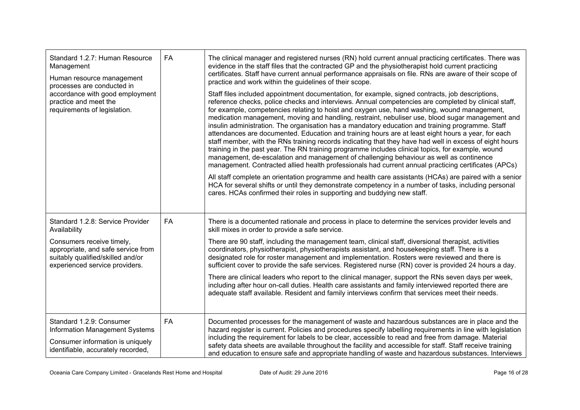| Standard 1.2.7: Human Resource<br>Management<br>Human resource management<br>processes are conducted in                                | <b>FA</b> | The clinical manager and registered nurses (RN) hold current annual practicing certificates. There was<br>evidence in the staff files that the contracted GP and the physiotherapist hold current practicing<br>certificates. Staff have current annual performance appraisals on file. RNs are aware of their scope of<br>practice and work within the guidelines of their scope.                                                                                                                                                                                                                                                                                                                                                                                                                                                                                                                                                                                                                                                                                                                                                                 |
|----------------------------------------------------------------------------------------------------------------------------------------|-----------|----------------------------------------------------------------------------------------------------------------------------------------------------------------------------------------------------------------------------------------------------------------------------------------------------------------------------------------------------------------------------------------------------------------------------------------------------------------------------------------------------------------------------------------------------------------------------------------------------------------------------------------------------------------------------------------------------------------------------------------------------------------------------------------------------------------------------------------------------------------------------------------------------------------------------------------------------------------------------------------------------------------------------------------------------------------------------------------------------------------------------------------------------|
| accordance with good employment<br>practice and meet the<br>requirements of legislation.                                               |           | Staff files included appointment documentation, for example, signed contracts, job descriptions,<br>reference checks, police checks and interviews. Annual competencies are completed by clinical staff,<br>for example, competencies relating to hoist and oxygen use, hand washing, wound management,<br>medication management, moving and handling, restraint, nebuliser use, blood sugar management and<br>insulin administration. The organisation has a mandatory education and training programme. Staff<br>attendances are documented. Education and training hours are at least eight hours a year, for each<br>staff member, with the RNs training records indicating that they have had well in excess of eight hours<br>training in the past year. The RN training programme includes clinical topics, for example, wound<br>management, de-escalation and management of challenging behaviour as well as continence<br>management. Contracted allied health professionals had current annual practicing certificates (APCs)<br>All staff complete an orientation programme and health care assistants (HCAs) are paired with a senior |
|                                                                                                                                        |           | HCA for several shifts or until they demonstrate competency in a number of tasks, including personal<br>cares. HCAs confirmed their roles in supporting and buddying new staff.                                                                                                                                                                                                                                                                                                                                                                                                                                                                                                                                                                                                                                                                                                                                                                                                                                                                                                                                                                    |
| Standard 1.2.8: Service Provider<br>Availability                                                                                       | <b>FA</b> | There is a documented rationale and process in place to determine the services provider levels and<br>skill mixes in order to provide a safe service.                                                                                                                                                                                                                                                                                                                                                                                                                                                                                                                                                                                                                                                                                                                                                                                                                                                                                                                                                                                              |
| Consumers receive timely,<br>appropriate, and safe service from<br>suitably qualified/skilled and/or<br>experienced service providers. |           | There are 90 staff, including the management team, clinical staff, diversional therapist, activities<br>coordinators, physiotherapist, physiotherapists assistant, and housekeeping staff. There is a<br>designated role for roster management and implementation. Rosters were reviewed and there is<br>sufficient cover to provide the safe services. Registered nurse (RN) cover is provided 24 hours a day.                                                                                                                                                                                                                                                                                                                                                                                                                                                                                                                                                                                                                                                                                                                                    |
|                                                                                                                                        |           | There are clinical leaders who report to the clinical manager, support the RNs seven days per week,<br>including after hour on-call duties. Health care assistants and family interviewed reported there are<br>adequate staff available. Resident and family interviews confirm that services meet their needs.                                                                                                                                                                                                                                                                                                                                                                                                                                                                                                                                                                                                                                                                                                                                                                                                                                   |
| Standard 1.2.9: Consumer<br><b>Information Management Systems</b><br>Consumer information is uniquely                                  | <b>FA</b> | Documented processes for the management of waste and hazardous substances are in place and the<br>hazard register is current. Policies and procedures specify labelling requirements in line with legislation<br>including the requirement for labels to be clear, accessible to read and free from damage. Material<br>safety data sheets are available throughout the facility and accessible for staff. Staff receive training                                                                                                                                                                                                                                                                                                                                                                                                                                                                                                                                                                                                                                                                                                                  |
| identifiable, accurately recorded,                                                                                                     |           | and education to ensure safe and appropriate handling of waste and hazardous substances. Interviews                                                                                                                                                                                                                                                                                                                                                                                                                                                                                                                                                                                                                                                                                                                                                                                                                                                                                                                                                                                                                                                |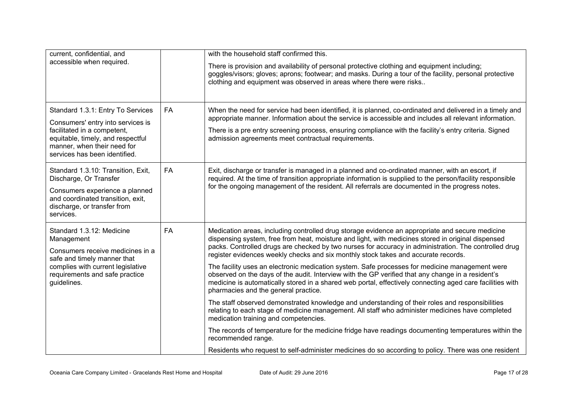| current, confidential, and                                                                                                                                                                       |           | with the household staff confirmed this.                                                                                                                                                                                                                                                                                                                                                             |
|--------------------------------------------------------------------------------------------------------------------------------------------------------------------------------------------------|-----------|------------------------------------------------------------------------------------------------------------------------------------------------------------------------------------------------------------------------------------------------------------------------------------------------------------------------------------------------------------------------------------------------------|
| accessible when required.                                                                                                                                                                        |           | There is provision and availability of personal protective clothing and equipment including;<br>goggles/visors; gloves; aprons; footwear; and masks. During a tour of the facility, personal protective<br>clothing and equipment was observed in areas where there were risks                                                                                                                       |
| Standard 1.3.1: Entry To Services<br>Consumers' entry into services is                                                                                                                           | <b>FA</b> | When the need for service had been identified, it is planned, co-ordinated and delivered in a timely and<br>appropriate manner. Information about the service is accessible and includes all relevant information.                                                                                                                                                                                   |
| facilitated in a competent,<br>equitable, timely, and respectful<br>manner, when their need for<br>services has been identified.                                                                 |           | There is a pre entry screening process, ensuring compliance with the facility's entry criteria. Signed<br>admission agreements meet contractual requirements.                                                                                                                                                                                                                                        |
| Standard 1.3.10: Transition, Exit,<br>Discharge, Or Transfer<br>Consumers experience a planned<br>and coordinated transition, exit,<br>discharge, or transfer from<br>services.                  | <b>FA</b> | Exit, discharge or transfer is managed in a planned and co-ordinated manner, with an escort, if<br>required. At the time of transition appropriate information is supplied to the person/facility responsible<br>for the ongoing management of the resident. All referrals are documented in the progress notes.                                                                                     |
| Standard 1.3.12: Medicine<br>Management<br>Consumers receive medicines in a<br>safe and timely manner that<br>complies with current legislative<br>requirements and safe practice<br>guidelines. | <b>FA</b> | Medication areas, including controlled drug storage evidence an appropriate and secure medicine<br>dispensing system, free from heat, moisture and light, with medicines stored in original dispensed<br>packs. Controlled drugs are checked by two nurses for accuracy in administration. The controlled drug<br>register evidences weekly checks and six monthly stock takes and accurate records. |
|                                                                                                                                                                                                  |           | The facility uses an electronic medication system. Safe processes for medicine management were<br>observed on the days of the audit. Interview with the GP verified that any change in a resident's<br>medicine is automatically stored in a shared web portal, effectively connecting aged care facilities with<br>pharmacies and the general practice.                                             |
|                                                                                                                                                                                                  |           | The staff observed demonstrated knowledge and understanding of their roles and responsibilities<br>relating to each stage of medicine management. All staff who administer medicines have completed<br>medication training and competencies.                                                                                                                                                         |
|                                                                                                                                                                                                  |           | The records of temperature for the medicine fridge have readings documenting temperatures within the<br>recommended range.                                                                                                                                                                                                                                                                           |
|                                                                                                                                                                                                  |           | Residents who request to self-administer medicines do so according to policy. There was one resident                                                                                                                                                                                                                                                                                                 |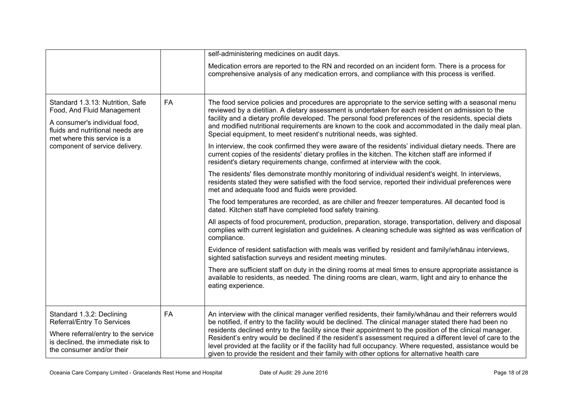|                                                                                                                                                                                                      |           | self-administering medicines on audit days.                                                                                                                                                                                                                                                                                                                                                                                                                                                           |
|------------------------------------------------------------------------------------------------------------------------------------------------------------------------------------------------------|-----------|-------------------------------------------------------------------------------------------------------------------------------------------------------------------------------------------------------------------------------------------------------------------------------------------------------------------------------------------------------------------------------------------------------------------------------------------------------------------------------------------------------|
|                                                                                                                                                                                                      |           | Medication errors are reported to the RN and recorded on an incident form. There is a process for<br>comprehensive analysis of any medication errors, and compliance with this process is verified.                                                                                                                                                                                                                                                                                                   |
| Standard 1.3.13: Nutrition, Safe<br>Food, And Fluid Management<br>A consumer's individual food,<br>fluids and nutritional needs are<br>met where this service is a<br>component of service delivery. | FA        | The food service policies and procedures are appropriate to the service setting with a seasonal menu<br>reviewed by a dietitian. A dietary assessment is undertaken for each resident on admission to the<br>facility and a dietary profile developed. The personal food preferences of the residents, special diets<br>and modified nutritional requirements are known to the cook and accommodated in the daily meal plan.<br>Special equipment, to meet resident's nutritional needs, was sighted. |
|                                                                                                                                                                                                      |           | In interview, the cook confirmed they were aware of the residents' individual dietary needs. There are<br>current copies of the residents' dietary profiles in the kitchen. The kitchen staff are informed if<br>resident's dietary requirements change, confirmed at interview with the cook.                                                                                                                                                                                                        |
|                                                                                                                                                                                                      |           | The residents' files demonstrate monthly monitoring of individual resident's weight. In interviews,<br>residents stated they were satisfied with the food service, reported their individual preferences were<br>met and adequate food and fluids were provided.                                                                                                                                                                                                                                      |
|                                                                                                                                                                                                      |           | The food temperatures are recorded, as are chiller and freezer temperatures. All decanted food is<br>dated. Kitchen staff have completed food safety training.                                                                                                                                                                                                                                                                                                                                        |
|                                                                                                                                                                                                      |           | All aspects of food procurement, production, preparation, storage, transportation, delivery and disposal<br>complies with current legislation and guidelines. A cleaning schedule was sighted as was verification of<br>compliance.                                                                                                                                                                                                                                                                   |
|                                                                                                                                                                                                      |           | Evidence of resident satisfaction with meals was verified by resident and family/whānau interviews,<br>sighted satisfaction surveys and resident meeting minutes.                                                                                                                                                                                                                                                                                                                                     |
|                                                                                                                                                                                                      |           | There are sufficient staff on duty in the dining rooms at meal times to ensure appropriate assistance is<br>available to residents, as needed. The dining rooms are clean, warm, light and airy to enhance the<br>eating experience.                                                                                                                                                                                                                                                                  |
| Standard 1.3.2: Declining<br>Referral/Entry To Services                                                                                                                                              | <b>FA</b> | An interview with the clinical manager verified residents, their family/whānau and their referrers would<br>be notified, if entry to the facility would be declined. The clinical manager stated there had been no                                                                                                                                                                                                                                                                                    |
| Where referral/entry to the service<br>is declined, the immediate risk to<br>the consumer and/or their                                                                                               |           | residents declined entry to the facility since their appointment to the position of the clinical manager.<br>Resident's entry would be declined if the resident's assessment required a different level of care to the<br>level provided at the facility or if the facility had full occupancy. Where requested, assistance would be<br>given to provide the resident and their family with other options for alternative health care                                                                 |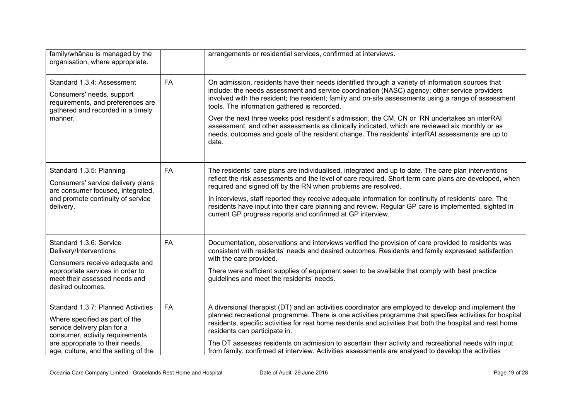| family/whānau is managed by the<br>organisation, where appropriate.                                                                                                                                               |           | arrangements or residential services, confirmed at interviews.                                                                                                                                                                                                                                                                                                                                                                                                                                                                                                                                                                                                            |
|-------------------------------------------------------------------------------------------------------------------------------------------------------------------------------------------------------------------|-----------|---------------------------------------------------------------------------------------------------------------------------------------------------------------------------------------------------------------------------------------------------------------------------------------------------------------------------------------------------------------------------------------------------------------------------------------------------------------------------------------------------------------------------------------------------------------------------------------------------------------------------------------------------------------------------|
| Standard 1.3.4: Assessment<br>Consumers' needs, support<br>requirements, and preferences are<br>gathered and recorded in a timely<br>manner.                                                                      | <b>FA</b> | On admission, residents have their needs identified through a variety of information sources that<br>include: the needs assessment and service coordination (NASC) agency; other service providers<br>involved with the resident; the resident; family and on-site assessments using a range of assessment<br>tools. The information gathered is recorded.<br>Over the next three weeks post resident's admission, the CM, CN or RN undertakes an interRAI<br>assessment, and other assessments as clinically indicated, which are reviewed six monthly or as<br>needs, outcomes and goals of the resident change. The residents' interRAI assessments are up to<br>date. |
| Standard 1.3.5: Planning<br>Consumers' service delivery plans<br>are consumer focused, integrated,<br>and promote continuity of service<br>delivery.                                                              | <b>FA</b> | The residents' care plans are individualised, integrated and up to date. The care plan interventions<br>reflect the risk assessments and the level of care required. Short term care plans are developed, when<br>required and signed off by the RN when problems are resolved.<br>In interviews, staff reported they receive adequate information for continuity of residents' care. The<br>residents have input into their care planning and review. Regular GP care is implemented, sighted in<br>current GP progress reports and confirmed at GP interview.                                                                                                           |
| Standard 1.3.6: Service<br>Delivery/Interventions<br>Consumers receive adequate and<br>appropriate services in order to<br>meet their assessed needs and<br>desired outcomes.                                     | <b>FA</b> | Documentation, observations and interviews verified the provision of care provided to residents was<br>consistent with residents' needs and desired outcomes. Residents and family expressed satisfaction<br>with the care provided.<br>There were sufficient supplies of equipment seen to be available that comply with best practice<br>guidelines and meet the residents' needs.                                                                                                                                                                                                                                                                                      |
| Standard 1.3.7: Planned Activities<br>Where specified as part of the<br>service delivery plan for a<br>consumer, activity requirements<br>are appropriate to their needs,<br>age, culture, and the setting of the | <b>FA</b> | A diversional therapist (DT) and an activities coordinator are employed to develop and implement the<br>planned recreational programme. There is one activities programme that specifies activities for hospital<br>residents, specific activities for rest home residents and activities that both the hospital and rest home<br>residents can participate in.<br>The DT assesses residents on admission to ascertain their activity and recreational needs with input<br>from family, confirmed at interview. Activities assessments are analysed to develop the activities                                                                                             |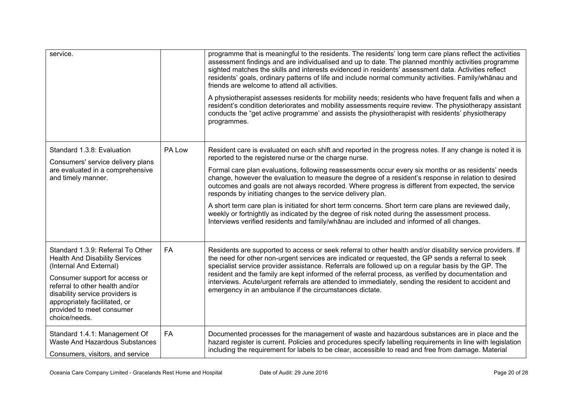| service.                                                                                                                                                                            |           | programme that is meaningful to the residents. The residents' long term care plans reflect the activities<br>assessment findings and are individualised and up to date. The planned monthly activities programme<br>sighted matches the skills and interests evidenced in residents' assessment data. Activities reflect<br>residents' goals, ordinary patterns of life and include normal community activities. Family/whānau and<br>friends are welcome to attend all activities. |
|-------------------------------------------------------------------------------------------------------------------------------------------------------------------------------------|-----------|-------------------------------------------------------------------------------------------------------------------------------------------------------------------------------------------------------------------------------------------------------------------------------------------------------------------------------------------------------------------------------------------------------------------------------------------------------------------------------------|
|                                                                                                                                                                                     |           | A physiotherapist assesses residents for mobility needs; residents who have frequent falls and when a<br>resident's condition deteriorates and mobility assessments require review. The physiotherapy assistant<br>conducts the "get active programme' and assists the physiotherapist with residents' physiotherapy<br>programmes.                                                                                                                                                 |
| Standard 1.3.8: Evaluation<br>Consumers' service delivery plans                                                                                                                     | PA Low    | Resident care is evaluated on each shift and reported in the progress notes. If any change is noted it is<br>reported to the registered nurse or the charge nurse.                                                                                                                                                                                                                                                                                                                  |
| are evaluated in a comprehensive<br>and timely manner.                                                                                                                              |           | Formal care plan evaluations, following reassessments occur every six months or as residents' needs<br>change, however the evaluation to measure the degree of a resident's response in relation to desired<br>outcomes and goals are not always recorded. Where progress is different from expected, the service<br>responds by initiating changes to the service delivery plan.                                                                                                   |
|                                                                                                                                                                                     |           | A short term care plan is initiated for short term concerns. Short term care plans are reviewed daily,<br>weekly or fortnightly as indicated by the degree of risk noted during the assessment process.<br>Interviews verified residents and family/whanau are included and informed of all changes.                                                                                                                                                                                |
| Standard 1.3.9: Referral To Other<br><b>Health And Disability Services</b><br>(Internal And External)                                                                               | <b>FA</b> | Residents are supported to access or seek referral to other health and/or disability service providers. If<br>the need for other non-urgent services are indicated or requested, the GP sends a referral to seek<br>specialist service provider assistance. Referrals are followed up on a regular basis by the GP. The                                                                                                                                                             |
| Consumer support for access or<br>referral to other health and/or<br>disability service providers is<br>appropriately facilitated, or<br>provided to meet consumer<br>choice/needs. |           | resident and the family are kept informed of the referral process, as verified by documentation and<br>interviews. Acute/urgent referrals are attended to immediately, sending the resident to accident and<br>emergency in an ambulance if the circumstances dictate.                                                                                                                                                                                                              |
| Standard 1.4.1: Management Of<br>Waste And Hazardous Substances<br>Consumers, visitors, and service                                                                                 | <b>FA</b> | Documented processes for the management of waste and hazardous substances are in place and the<br>hazard register is current. Policies and procedures specify labelling requirements in line with legislation<br>including the requirement for labels to be clear, accessible to read and free from damage. Material                                                                                                                                                                |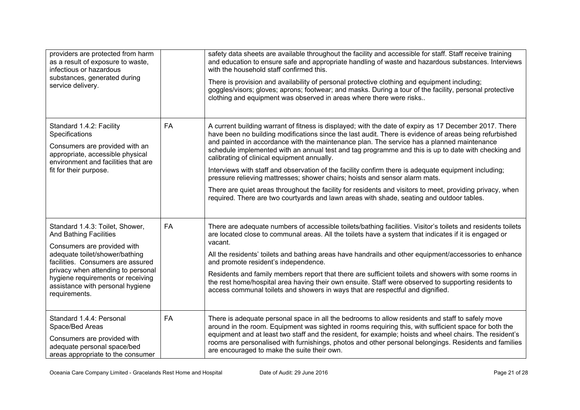| providers are protected from harm<br>as a result of exposure to waste,<br>infectious or hazardous<br>substances, generated during<br>service delivery.                                                                             |           | safety data sheets are available throughout the facility and accessible for staff. Staff receive training<br>and education to ensure safe and appropriate handling of waste and hazardous substances. Interviews<br>with the household staff confirmed this.<br>There is provision and availability of personal protective clothing and equipment including;<br>goggles/visors; gloves; aprons; footwear; and masks. During a tour of the facility, personal protective<br>clothing and equipment was observed in areas where there were risks |
|------------------------------------------------------------------------------------------------------------------------------------------------------------------------------------------------------------------------------------|-----------|------------------------------------------------------------------------------------------------------------------------------------------------------------------------------------------------------------------------------------------------------------------------------------------------------------------------------------------------------------------------------------------------------------------------------------------------------------------------------------------------------------------------------------------------|
| Standard 1.4.2: Facility<br>Specifications<br>Consumers are provided with an<br>appropriate, accessible physical<br>environment and facilities that are                                                                            | <b>FA</b> | A current building warrant of fitness is displayed; with the date of expiry as 17 December 2017. There<br>have been no building modifications since the last audit. There is evidence of areas being refurbished<br>and painted in accordance with the maintenance plan. The service has a planned maintenance<br>schedule implemented with an annual test and tag programme and this is up to date with checking and<br>calibrating of clinical equipment annually.                                                                           |
| fit for their purpose.                                                                                                                                                                                                             |           | Interviews with staff and observation of the facility confirm there is adequate equipment including;<br>pressure relieving mattresses; shower chairs; hoists and sensor alarm mats.                                                                                                                                                                                                                                                                                                                                                            |
|                                                                                                                                                                                                                                    |           | There are quiet areas throughout the facility for residents and visitors to meet, providing privacy, when<br>required. There are two courtyards and lawn areas with shade, seating and outdoor tables.                                                                                                                                                                                                                                                                                                                                         |
| Standard 1.4.3: Toilet, Shower,<br><b>And Bathing Facilities</b>                                                                                                                                                                   | <b>FA</b> | There are adequate numbers of accessible toilets/bathing facilities. Visitor's toilets and residents toilets<br>are located close to communal areas. All the toilets have a system that indicates if it is engaged or                                                                                                                                                                                                                                                                                                                          |
| Consumers are provided with<br>adequate toilet/shower/bathing<br>facilities. Consumers are assured<br>privacy when attending to personal<br>hygiene requirements or receiving<br>assistance with personal hygiene<br>requirements. |           | vacant.<br>All the residents' toilets and bathing areas have handrails and other equipment/accessories to enhance<br>and promote resident's independence.                                                                                                                                                                                                                                                                                                                                                                                      |
|                                                                                                                                                                                                                                    |           | Residents and family members report that there are sufficient toilets and showers with some rooms in<br>the rest home/hospital area having their own ensuite. Staff were observed to supporting residents to<br>access communal toilets and showers in ways that are respectful and dignified.                                                                                                                                                                                                                                                 |
| Standard 1.4.4: Personal<br>Space/Bed Areas<br>Consumers are provided with<br>adequate personal space/bed<br>areas appropriate to the consumer                                                                                     | FA        | There is adequate personal space in all the bedrooms to allow residents and staff to safely move<br>around in the room. Equipment was sighted in rooms requiring this, with sufficient space for both the<br>equipment and at least two staff and the resident, for example; hoists and wheel chairs. The resident's<br>rooms are personalised with furnishings, photos and other personal belongings. Residents and families<br>are encouraged to make the suite their own.                                                                   |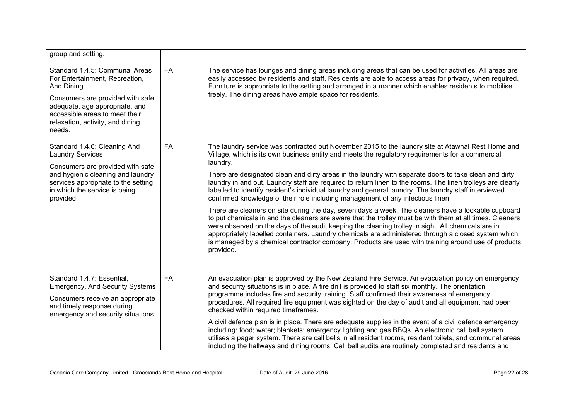| group and setting.                                                                                                                                                                                                                    |    |                                                                                                                                                                                                                                                                                                                                                                                                                                                                                                                                                  |
|---------------------------------------------------------------------------------------------------------------------------------------------------------------------------------------------------------------------------------------|----|--------------------------------------------------------------------------------------------------------------------------------------------------------------------------------------------------------------------------------------------------------------------------------------------------------------------------------------------------------------------------------------------------------------------------------------------------------------------------------------------------------------------------------------------------|
| Standard 1.4.5: Communal Areas<br>For Entertainment, Recreation,<br>And Dining<br>Consumers are provided with safe,<br>adequate, age appropriate, and<br>accessible areas to meet their<br>relaxation, activity, and dining<br>needs. | FA | The service has lounges and dining areas including areas that can be used for activities. All areas are<br>easily accessed by residents and staff. Residents are able to access areas for privacy, when required.<br>Furniture is appropriate to the setting and arranged in a manner which enables residents to mobilise<br>freely. The dining areas have ample space for residents.                                                                                                                                                            |
| Standard 1.4.6: Cleaning And<br><b>Laundry Services</b><br>Consumers are provided with safe                                                                                                                                           | FA | The laundry service was contracted out November 2015 to the laundry site at Atawhai Rest Home and<br>Village, which is its own business entity and meets the regulatory requirements for a commercial<br>laundry.                                                                                                                                                                                                                                                                                                                                |
| and hygienic cleaning and laundry<br>services appropriate to the setting<br>in which the service is being<br>provided.                                                                                                                |    | There are designated clean and dirty areas in the laundry with separate doors to take clean and dirty<br>laundry in and out. Laundry staff are required to return linen to the rooms. The linen trolleys are clearly<br>labelled to identify resident's individual laundry and general laundry. The laundry staff interviewed<br>confirmed knowledge of their role including management of any infectious linen.                                                                                                                                 |
|                                                                                                                                                                                                                                       |    | There are cleaners on site during the day, seven days a week. The cleaners have a lockable cupboard<br>to put chemicals in and the cleaners are aware that the trolley must be with them at all times. Cleaners<br>were observed on the days of the audit keeping the cleaning trolley in sight. All chemicals are in<br>appropriately labelled containers. Laundry chemicals are administered through a closed system which<br>is managed by a chemical contractor company. Products are used with training around use of products<br>provided. |
| Standard 1.4.7: Essential,<br><b>Emergency, And Security Systems</b>                                                                                                                                                                  | FA | An evacuation plan is approved by the New Zealand Fire Service. An evacuation policy on emergency<br>and security situations is in place. A fire drill is provided to staff six monthly. The orientation<br>programme includes fire and security training. Staff confirmed their awareness of emergency                                                                                                                                                                                                                                          |
| Consumers receive an appropriate<br>and timely response during<br>emergency and security situations.                                                                                                                                  |    | procedures. All required fire equipment was sighted on the day of audit and all equipment had been<br>checked within required timeframes.                                                                                                                                                                                                                                                                                                                                                                                                        |
|                                                                                                                                                                                                                                       |    | A civil defence plan is in place. There are adequate supplies in the event of a civil defence emergency<br>including: food; water; blankets; emergency lighting and gas BBQs. An electronic call bell system<br>utilises a pager system. There are call bells in all resident rooms, resident toilets, and communal areas<br>including the hallways and dining rooms. Call bell audits are routinely completed and residents and                                                                                                                 |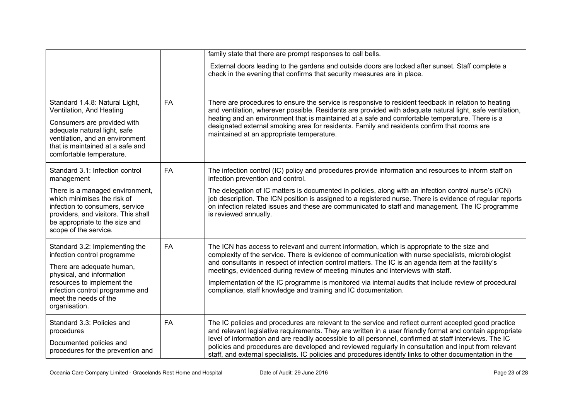|                                                                                                                                                                                                                                    |           | family state that there are prompt responses to call bells.                                                                                                                                                                                                                                                                                                                                                                                                                                                                                                               |
|------------------------------------------------------------------------------------------------------------------------------------------------------------------------------------------------------------------------------------|-----------|---------------------------------------------------------------------------------------------------------------------------------------------------------------------------------------------------------------------------------------------------------------------------------------------------------------------------------------------------------------------------------------------------------------------------------------------------------------------------------------------------------------------------------------------------------------------------|
|                                                                                                                                                                                                                                    |           | External doors leading to the gardens and outside doors are locked after sunset. Staff complete a<br>check in the evening that confirms that security measures are in place.                                                                                                                                                                                                                                                                                                                                                                                              |
| Standard 1.4.8: Natural Light,<br>Ventilation, And Heating<br>Consumers are provided with<br>adequate natural light, safe<br>ventilation, and an environment<br>that is maintained at a safe and<br>comfortable temperature.       | FA        | There are procedures to ensure the service is responsive to resident feedback in relation to heating<br>and ventilation, wherever possible. Residents are provided with adequate natural light, safe ventilation,<br>heating and an environment that is maintained at a safe and comfortable temperature. There is a<br>designated external smoking area for residents. Family and residents confirm that rooms are<br>maintained at an appropriate temperature.                                                                                                          |
| Standard 3.1: Infection control<br>management                                                                                                                                                                                      | <b>FA</b> | The infection control (IC) policy and procedures provide information and resources to inform staff on<br>infection prevention and control.                                                                                                                                                                                                                                                                                                                                                                                                                                |
| There is a managed environment,<br>which minimises the risk of<br>infection to consumers, service<br>providers, and visitors. This shall<br>be appropriate to the size and<br>scope of the service.                                |           | The delegation of IC matters is documented in policies, along with an infection control nurse's (ICN)<br>job description. The ICN position is assigned to a registered nurse. There is evidence of regular reports<br>on infection related issues and these are communicated to staff and management. The IC programme<br>is reviewed annually.                                                                                                                                                                                                                           |
| Standard 3.2: Implementing the<br>infection control programme<br>There are adequate human,<br>physical, and information<br>resources to implement the<br>infection control programme and<br>meet the needs of the<br>organisation. | <b>FA</b> | The ICN has access to relevant and current information, which is appropriate to the size and<br>complexity of the service. There is evidence of communication with nurse specialists, microbiologist<br>and consultants in respect of infection control matters. The IC is an agenda item at the facility's<br>meetings, evidenced during review of meeting minutes and interviews with staff.<br>Implementation of the IC programme is monitored via internal audits that include review of procedural<br>compliance, staff knowledge and training and IC documentation. |
| Standard 3.3: Policies and<br>procedures<br>Documented policies and<br>procedures for the prevention and                                                                                                                           | FA        | The IC policies and procedures are relevant to the service and reflect current accepted good practice<br>and relevant legislative requirements. They are written in a user friendly format and contain appropriate<br>level of information and are readily accessible to all personnel, confirmed at staff interviews. The IC<br>policies and procedures are developed and reviewed regularly in consultation and input from relevant<br>staff, and external specialists. IC policies and procedures identify links to other documentation in the                         |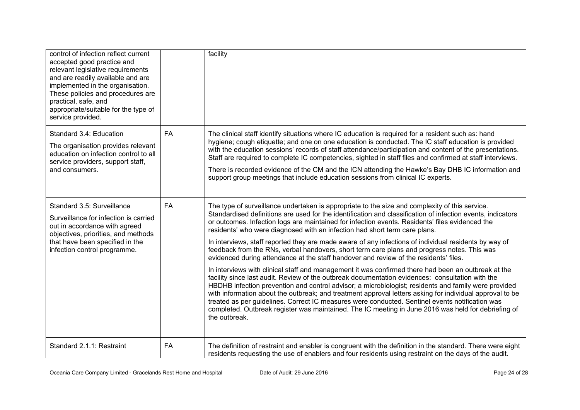| control of infection reflect current<br>accepted good practice and<br>relevant legislative requirements<br>and are readily available and are<br>implemented in the organisation.<br>These policies and procedures are<br>practical, safe, and<br>appropriate/suitable for the type of<br>service provided. |           | facility                                                                                                                                                                                                                                                                                                                                                                                                                                                                                                                                                                                                                                                                                                                                                                                                                                                                                                                                                                                                                                                                                                                                                                                                                                                                                                                                                  |
|------------------------------------------------------------------------------------------------------------------------------------------------------------------------------------------------------------------------------------------------------------------------------------------------------------|-----------|-----------------------------------------------------------------------------------------------------------------------------------------------------------------------------------------------------------------------------------------------------------------------------------------------------------------------------------------------------------------------------------------------------------------------------------------------------------------------------------------------------------------------------------------------------------------------------------------------------------------------------------------------------------------------------------------------------------------------------------------------------------------------------------------------------------------------------------------------------------------------------------------------------------------------------------------------------------------------------------------------------------------------------------------------------------------------------------------------------------------------------------------------------------------------------------------------------------------------------------------------------------------------------------------------------------------------------------------------------------|
| Standard 3.4: Education<br>The organisation provides relevant<br>education on infection control to all<br>service providers, support staff,<br>and consumers.                                                                                                                                              | <b>FA</b> | The clinical staff identify situations where IC education is required for a resident such as: hand<br>hygiene; cough etiquette; and one on one education is conducted. The IC staff education is provided<br>with the education sessions' records of staff attendance/participation and content of the presentations.<br>Staff are required to complete IC competencies, sighted in staff files and confirmed at staff interviews.<br>There is recorded evidence of the CM and the ICN attending the Hawke's Bay DHB IC information and<br>support group meetings that include education sessions from clinical IC experts.                                                                                                                                                                                                                                                                                                                                                                                                                                                                                                                                                                                                                                                                                                                               |
| Standard 3.5: Surveillance<br>Surveillance for infection is carried<br>out in accordance with agreed<br>objectives, priorities, and methods<br>that have been specified in the<br>infection control programme.                                                                                             | <b>FA</b> | The type of surveillance undertaken is appropriate to the size and complexity of this service.<br>Standardised definitions are used for the identification and classification of infection events, indicators<br>or outcomes. Infection logs are maintained for infection events. Residents' files evidenced the<br>residents' who were diagnosed with an infection had short term care plans.<br>In interviews, staff reported they are made aware of any infections of individual residents by way of<br>feedback from the RNs, verbal handovers, short term care plans and progress notes. This was<br>evidenced during attendance at the staff handover and review of the residents' files.<br>In interviews with clinical staff and management it was confirmed there had been an outbreak at the<br>facility since last audit. Review of the outbreak documentation evidences: consultation with the<br>HBDHB infection prevention and control advisor; a microbiologist; residents and family were provided<br>with information about the outbreak; and treatment approval letters asking for individual approval to be<br>treated as per guidelines. Correct IC measures were conducted. Sentinel events notification was<br>completed. Outbreak register was maintained. The IC meeting in June 2016 was held for debriefing of<br>the outbreak. |
| Standard 2.1.1: Restraint                                                                                                                                                                                                                                                                                  | FA        | The definition of restraint and enabler is congruent with the definition in the standard. There were eight<br>residents requesting the use of enablers and four residents using restraint on the days of the audit.                                                                                                                                                                                                                                                                                                                                                                                                                                                                                                                                                                                                                                                                                                                                                                                                                                                                                                                                                                                                                                                                                                                                       |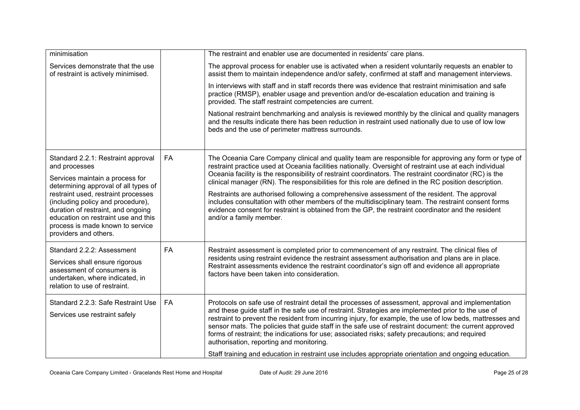| minimisation                                                                                                                                                                                                                                                                                                                                         |           | The restraint and enabler use are documented in residents' care plans.                                                                                                                                                                                                                                                                                                                                                                                                                                                                                                                                                                                                                                                                                                      |  |
|------------------------------------------------------------------------------------------------------------------------------------------------------------------------------------------------------------------------------------------------------------------------------------------------------------------------------------------------------|-----------|-----------------------------------------------------------------------------------------------------------------------------------------------------------------------------------------------------------------------------------------------------------------------------------------------------------------------------------------------------------------------------------------------------------------------------------------------------------------------------------------------------------------------------------------------------------------------------------------------------------------------------------------------------------------------------------------------------------------------------------------------------------------------------|--|
| Services demonstrate that the use<br>of restraint is actively minimised.                                                                                                                                                                                                                                                                             |           | The approval process for enabler use is activated when a resident voluntarily requests an enabler to<br>assist them to maintain independence and/or safety, confirmed at staff and management interviews.                                                                                                                                                                                                                                                                                                                                                                                                                                                                                                                                                                   |  |
|                                                                                                                                                                                                                                                                                                                                                      |           | In interviews with staff and in staff records there was evidence that restraint minimisation and safe<br>practice (RMSP), enabler usage and prevention and/or de-escalation education and training is<br>provided. The staff restraint competencies are current.                                                                                                                                                                                                                                                                                                                                                                                                                                                                                                            |  |
|                                                                                                                                                                                                                                                                                                                                                      |           | National restraint benchmarking and analysis is reviewed monthly by the clinical and quality managers<br>and the results indicate there has been reduction in restraint used nationally due to use of low low<br>beds and the use of perimeter mattress surrounds.                                                                                                                                                                                                                                                                                                                                                                                                                                                                                                          |  |
| Standard 2.2.1: Restraint approval<br>and processes<br>Services maintain a process for<br>determining approval of all types of<br>restraint used, restraint processes<br>(including policy and procedure),<br>duration of restraint, and ongoing<br>education on restraint use and this<br>process is made known to service<br>providers and others. | FA        | The Oceania Care Company clinical and quality team are responsible for approving any form or type of<br>restraint practice used at Oceania facilities nationally. Oversight of restraint use at each individual<br>Oceania facility is the responsibility of restraint coordinators. The restraint coordinator (RC) is the<br>clinical manager (RN). The responsibilities for this role are defined in the RC position description.<br>Restraints are authorised following a comprehensive assessment of the resident. The approval<br>includes consultation with other members of the multidisciplinary team. The restraint consent forms<br>evidence consent for restraint is obtained from the GP, the restraint coordinator and the resident<br>and/or a family member. |  |
| Standard 2.2.2: Assessment<br>Services shall ensure rigorous<br>assessment of consumers is<br>undertaken, where indicated, in<br>relation to use of restraint.                                                                                                                                                                                       | <b>FA</b> | Restraint assessment is completed prior to commencement of any restraint. The clinical files of<br>residents using restraint evidence the restraint assessment authorisation and plans are in place.<br>Restraint assessments evidence the restraint coordinator's sign off and evidence all appropriate<br>factors have been taken into consideration.                                                                                                                                                                                                                                                                                                                                                                                                                     |  |
| Standard 2.2.3: Safe Restraint Use<br>Services use restraint safely                                                                                                                                                                                                                                                                                  | <b>FA</b> | Protocols on safe use of restraint detail the processes of assessment, approval and implementation<br>and these guide staff in the safe use of restraint. Strategies are implemented prior to the use of<br>restraint to prevent the resident from incurring injury, for example, the use of low beds, mattresses and<br>sensor mats. The policies that guide staff in the safe use of restraint document: the current approved<br>forms of restraint; the indications for use; associated risks; safety precautions; and required<br>authorisation, reporting and monitoring.<br>Staff training and education in restraint use includes appropriate orientation and ongoing education.                                                                                     |  |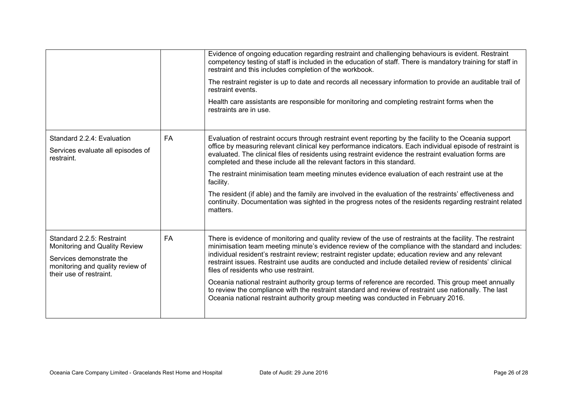|                                                                                                                                                       |           | Evidence of ongoing education regarding restraint and challenging behaviours is evident. Restraint<br>competency testing of staff is included in the education of staff. There is mandatory training for staff in<br>restraint and this includes completion of the workbook.<br>The restraint register is up to date and records all necessary information to provide an auditable trail of<br>restraint events.<br>Health care assistants are responsible for monitoring and completing restraint forms when the<br>restraints are in use.                                                                                                                                                                                                                                           |
|-------------------------------------------------------------------------------------------------------------------------------------------------------|-----------|---------------------------------------------------------------------------------------------------------------------------------------------------------------------------------------------------------------------------------------------------------------------------------------------------------------------------------------------------------------------------------------------------------------------------------------------------------------------------------------------------------------------------------------------------------------------------------------------------------------------------------------------------------------------------------------------------------------------------------------------------------------------------------------|
| Standard 2.2.4: Evaluation<br>Services evaluate all episodes of<br>restraint.                                                                         | <b>FA</b> | Evaluation of restraint occurs through restraint event reporting by the facility to the Oceania support<br>office by measuring relevant clinical key performance indicators. Each individual episode of restraint is<br>evaluated. The clinical files of residents using restraint evidence the restraint evaluation forms are<br>completed and these include all the relevant factors in this standard.<br>The restraint minimisation team meeting minutes evidence evaluation of each restraint use at the<br>facility.<br>The resident (if able) and the family are involved in the evaluation of the restraints' effectiveness and<br>continuity. Documentation was sighted in the progress notes of the residents regarding restraint related<br>matters.                        |
| Standard 2.2.5: Restraint<br>Monitoring and Quality Review<br>Services demonstrate the<br>monitoring and quality review of<br>their use of restraint. | <b>FA</b> | There is evidence of monitoring and quality review of the use of restraints at the facility. The restraint<br>minimisation team meeting minute's evidence review of the compliance with the standard and includes:<br>individual resident's restraint review; restraint register update; education review and any relevant<br>restraint issues. Restraint use audits are conducted and include detailed review of residents' clinical<br>files of residents who use restraint.<br>Oceania national restraint authority group terms of reference are recorded. This group meet annually<br>to review the compliance with the restraint standard and review of restraint use nationally. The last<br>Oceania national restraint authority group meeting was conducted in February 2016. |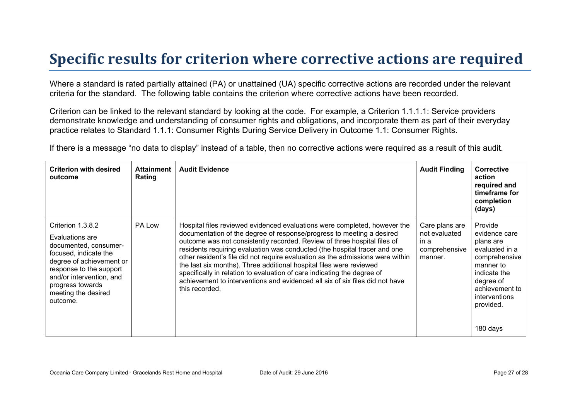## **Specific results for criterion where corrective actions are required**

Where a standard is rated partially attained (PA) or unattained (UA) specific corrective actions are recorded under the relevant criteria for the standard. The following table contains the criterion where corrective actions have been recorded.

Criterion can be linked to the relevant standard by looking at the code. For example, a Criterion 1.1.1.1: Service providers demonstrate knowledge and understanding of consumer rights and obligations, and incorporate them as part of their everyday practice relates to Standard 1.1.1: Consumer Rights During Service Delivery in Outcome 1.1: Consumer Rights.

If there is a message "no data to display" instead of a table, then no corrective actions were required as a result of this audit.

| <b>Criterion with desired</b><br>outcome                                                                                                                                                                                         | <b>Attainment</b><br>Rating | <b>Audit Evidence</b>                                                                                                                                                                                                                                                                                                                                                                                                                                                                                                                                                                                                                             | <b>Audit Finding</b>                                                | <b>Corrective</b><br>action<br>required and<br>timeframe for<br>completion<br>(days)                                                                                           |
|----------------------------------------------------------------------------------------------------------------------------------------------------------------------------------------------------------------------------------|-----------------------------|---------------------------------------------------------------------------------------------------------------------------------------------------------------------------------------------------------------------------------------------------------------------------------------------------------------------------------------------------------------------------------------------------------------------------------------------------------------------------------------------------------------------------------------------------------------------------------------------------------------------------------------------------|---------------------------------------------------------------------|--------------------------------------------------------------------------------------------------------------------------------------------------------------------------------|
| Criterion 1.3.8.2<br>Evaluations are<br>documented, consumer-<br>focused, indicate the<br>degree of achievement or<br>response to the support<br>and/or intervention, and<br>progress towards<br>meeting the desired<br>outcome. | PA Low                      | Hospital files reviewed evidenced evaluations were completed, however the<br>documentation of the degree of response/progress to meeting a desired<br>outcome was not consistently recorded. Review of three hospital files of<br>residents requiring evaluation was conducted (the hospital tracer and one<br>other resident's file did not require evaluation as the admissions were within<br>the last six months). Three additional hospital files were reviewed<br>specifically in relation to evaluation of care indicating the degree of<br>achievement to interventions and evidenced all six of six files did not have<br>this recorded. | Care plans are<br>not evaluated<br>in a<br>comprehensive<br>manner. | Provide<br>evidence care<br>plans are<br>evaluated in a<br>comprehensive<br>manner to<br>indicate the<br>degree of<br>achievement to<br>interventions<br>provided.<br>180 days |